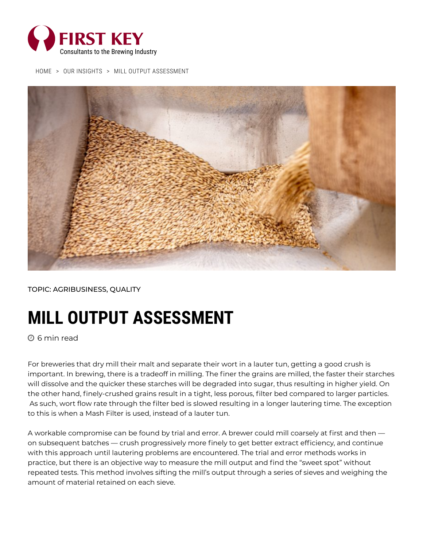

[HOME](https://firstkey.com/) > OUR [INSIGHTS](https://firstkey.com/our-insights/) > MILL OUTPUT ASSESSMENT



TOPIC: [AGRIBUSINESS](https://firstkey.com/category/agribusiness/), [QUALITY](https://firstkey.com/category/quality/)

## **MILL OUTPUT ASSESSMENT**

 $\bm{\mathsf{\Theta}}$  6 min read

For breweries that dry mill their malt and separate their wort in a lauter tun, getting a good crush is important. In brewing, there is a tradeoff in milling. The finer the grains are milled, the faster their starches will dissolve and the quicker these starches will be degraded into sugar, thus resulting in higher yield. On the other hand, finely-crushed grains result in a tight, less porous, filter bed compared to larger particles. As such, wort flow rate through the filter bed is slowed resulting in a longer lautering time. The exception to this is when a Mash Filter is used, instead of a lauter tun.

A workable compromise can be found by trial and error. A brewer could mill coarsely at first and then on subsequent batches — crush progressively more finely to get better extract efficiency, and continue with this approach until lautering problems are encountered. The trial and error methods works in practice, but there is an objective way to measure the mill output and find the "sweet spot" without repeated tests. This method involves sifting the mill's output through a series of sieves and weighing the amount of material retained on each sieve.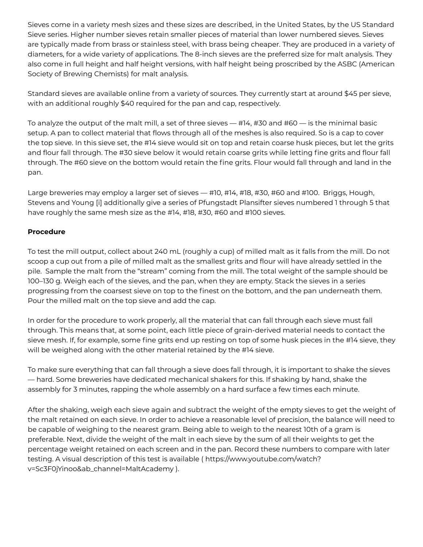Sieves come in a variety mesh sizes and these sizes are described, in the United States, by the US Standard Sieve series. Higher number sieves retain smaller pieces of material than lower numbered sieves. Sieves are typically made from brass or stainless steel, with brass being cheaper. They are produced in a variety of diameters, for a wide variety of applications. The 8-inch sieves are the preferred size for malt analysis. They also come in full height and half height versions, with half height being proscribed by the ASBC (American Society of Brewing Chemists) for malt analysis.

Standard sieves are available online from a variety of sources. They currently start at around \$45 per sieve, with an additional roughly \$40 required for the pan and cap, respectively.

To analyze the output of the malt mill, a set of three sieves — #14, #30 and #60 — is the minimal basic setup. A pan to collect material that flows through all of the meshes is also required. So is a cap to cover the top sieve. In this sieve set, the #14 sieve would sit on top and retain coarse husk pieces, but let the grits and flour fall through. The #30 sieve below it would retain coarse grits while letting fine grits and flour fall through. The #60 sieve on the bottom would retain the fine grits. Flour would fall through and land in the pan.

Large breweries may employ a larger set of sieves — #10, #14, #18, #30, #60 and #100. Briggs, Hough, Stevens and Young [i] additionally give a series of Pfungstadt Plansifter sieves numbered 1 through 5 that have roughly the same mesh size as the #14, #18, #30, #60 and #100 sieves.

## **Procedure**

To test the mill output, collect about 240 mL (roughly a cup) of milled malt as it falls from the mill. Do not scoop a cup out from a pile of milled malt as the smallest grits and flour will have already settled in the pile. Sample the malt from the "stream" coming from the mill. The total weight of the sample should be 100–130 g. Weigh each of the sieves, and the pan, when they are empty. Stack the sieves in a series progressing from the coarsest sieve on top to the finest on the bottom, and the pan underneath them. Pour the milled malt on the top sieve and add the cap.

In order for the procedure to work properly, all the material that can fall through each sieve must fall through. This means that, at some point, each little piece of grain-derived material needs to contact the sieve mesh. If, for example, some fine grits end up resting on top of some husk pieces in the #14 sieve, they will be weighed along with the other material retained by the #14 sieve.

To make sure everything that can fall through a sieve does fall through, it is important to shake the sieves — hard. Some breweries have dedicated mechanical shakers for this. If shaking by hand, shake the assembly for 3 minutes, rapping the whole assembly on a hard surface a few times each minute.

After the shaking, weigh each sieve again and subtract the weight of the empty sieves to get the weight of the malt retained on each sieve. In order to achieve a reasonable level of precision, the balance will need to be capable of weighing to the nearest gram. Being able to weigh to the nearest 10th of a gram is preferable. Next, divide the weight of the malt in each sieve by the sum of all their weights to get the percentage weight retained on each screen and in the pan. Record these numbers to compare with later testing. A visual description of this test is available ( https://www.youtube.com/watch? [v=Sc3F0jYinoo&ab\\_channel=MaltAcademy](https://www.youtube.com/watch?v=Sc3F0jYinoo&ab_channel=MaltAcademy) ).